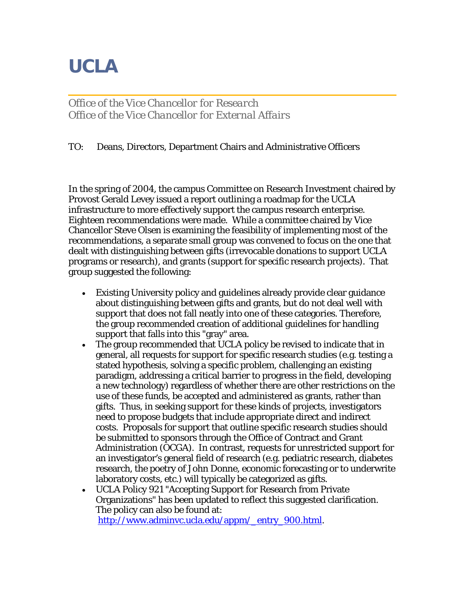## **UCLA**

*Office of the Vice Chancellor for Research Office of the Vice Chancellor for External Affairs*

## TO: Deans, Directors, Department Chairs and Administrative Officers

In the spring of 2004, the campus Committee on Research Investment chaired by Provost Gerald Levey issued a report outlining a roadmap for the UCLA infrastructure to more effectively support the campus research enterprise. Eighteen recommendations were made. While a committee chaired by Vice Chancellor Steve Olsen is examining the feasibility of implementing most of the recommendations, a separate small group was convened to focus on the one that dealt with distinguishing between gifts (irrevocable donations to support UCLA programs or research), and grants (support for specific research projects). That group suggested the following:

- Existing University policy and guidelines already provide clear guidance about distinguishing between gifts and grants, but do not deal well with support that does not fall neatly into one of these categories. Therefore, the group recommended creation of additional guidelines for handling support that falls into this "gray" area.
- The group recommended that UCLA policy be revised to indicate that in general, all requests for support for specific research studies (e.g. testing a stated hypothesis, solving a specific problem, challenging an existing paradigm, addressing a critical barrier to progress in the field, developing a new technology) regardless of whether there are other restrictions on the use of these funds, be accepted and administered as grants, rather than gifts. Thus, in seeking support for these kinds of projects, investigators need to propose budgets that include appropriate direct and indirect costs. Proposals for support that outline specific research studies should be submitted to sponsors through the Office of Contract and Grant Administration (OCGA). In contrast, requests for unrestricted support for an investigator's general field of research (e.g. pediatric research, diabetes research, the poetry of John Donne, economic forecasting or to underwrite laboratory costs, etc.) will typically be categorized as gifts.
- UCLA Policy 921 "Accepting Support for Research from Private Organizations" has been updated to reflect this suggested clarification. The policy can also be found at: [http://www.adminvc.ucla.edu/appm/\\_entry\\_900.html.](http://www.adminvc.ucla.edu/appm/_entry_900.html)